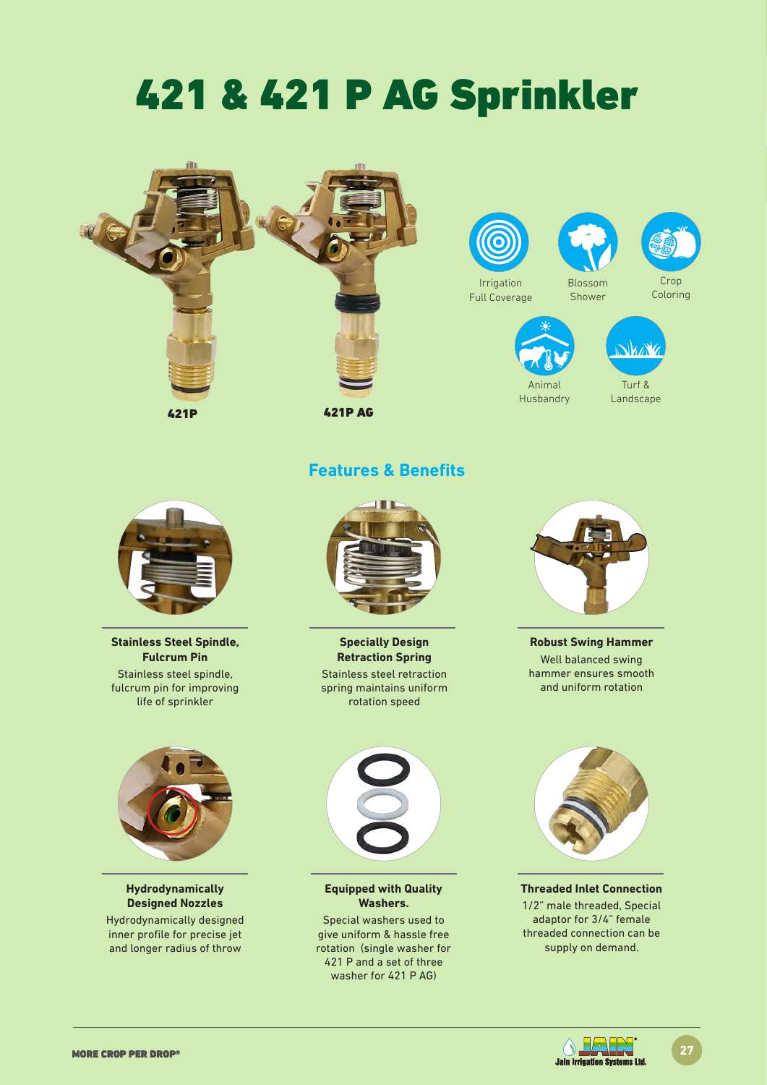# 421 & 421 P AG Sprinkler





### **Features & Benefits**



**Stainless Steel Spindle, Fulcrum Pin** Stainless steel spindle, fulcrum pin for improving life of sprinkler



**Hydrodynamically Designed Nozzles**

Hydrodynamically designed inner profile for precise jet and longer radius of throw



**Specially Design Retraction Spring** Stainless steel retraction spring maintains uniform rotation speed

**Equipped with Quality Washers.** Special washers used to give uniform & hassle free rotation (single washer for 421 P and a set of three washer for 421 P AG)



**Robust Swing Hammer** Well balanced swing hammer ensures smooth and uniform rotation



**Threaded Inlet Connection** 1/2" male threaded, Special adaptor for 3/4" female threaded connection can be supply on demand.